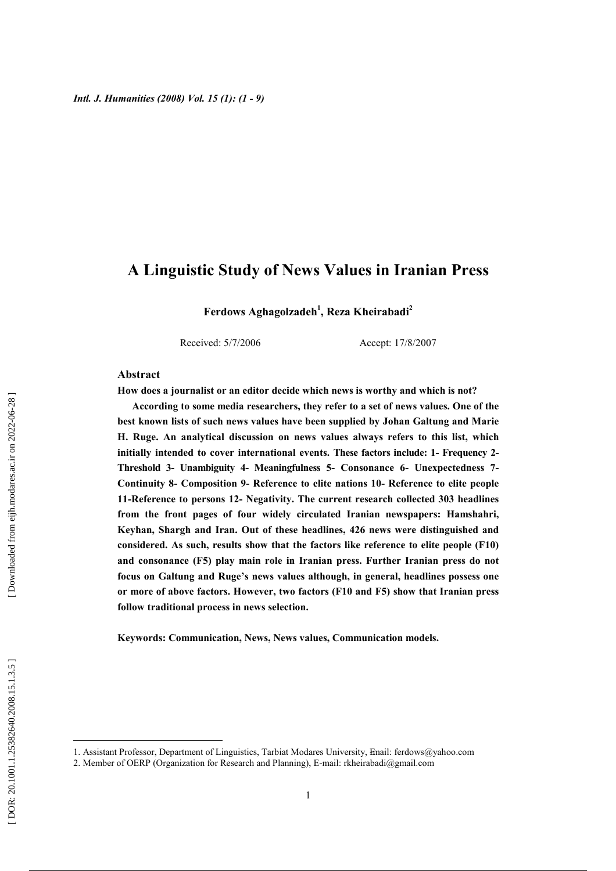## A Linguistic Study of News Values in Iranian Press

Ferdows Aghagolzadeh<sup>1</sup>, Reza Kheirabadi<sup>2</sup>

Received: 5/7/2006

Accept: 17/8/2007

#### Abstract

How does a journalist or an editor decide which news is worthy and which is not?

According to some media researchers, they refer to a set of news values. One of the best known lists of such news values have been supplied by Johan Galtung and Marie H. Ruge. An analytical discussion on news values always refers to this list, which initially intended to cover international events. These factors include: 1- Frequency 2-Threshold 3- Unambiguity 4- Meaningfulness 5- Consonance 6- Unexpectedness 7-Continuity 8- Composition 9- Reference to elite nations 10- Reference to elite people 11-Reference to persons 12- Negativity. The current research collected 303 headlines from the front pages of four widely circulated Iranian newspapers: Hamshahri, Keyhan, Shargh and Iran. Out of these headlines, 426 news were distinguished and considered. As such, results show that the factors like reference to elite people (F10) and consonance (F5) play main role in Iranian press. Further Iranian press do not focus on Galtung and Ruge's news values although, in general, headlines possess one or more of above factors. However, two factors (F10 and F5) show that Iranian press follow traditional process in news selection.

Keywords: Communication, News, News values, Communication models.

<sup>1.</sup> Assistant Professor, Department of Linguistics, Tarbiat Modares University, Email: ferdows@yahoo.com

<sup>2.</sup> Member of OERP (Organization for Research and Planning), E-mail: rkheirabadi@gmail.com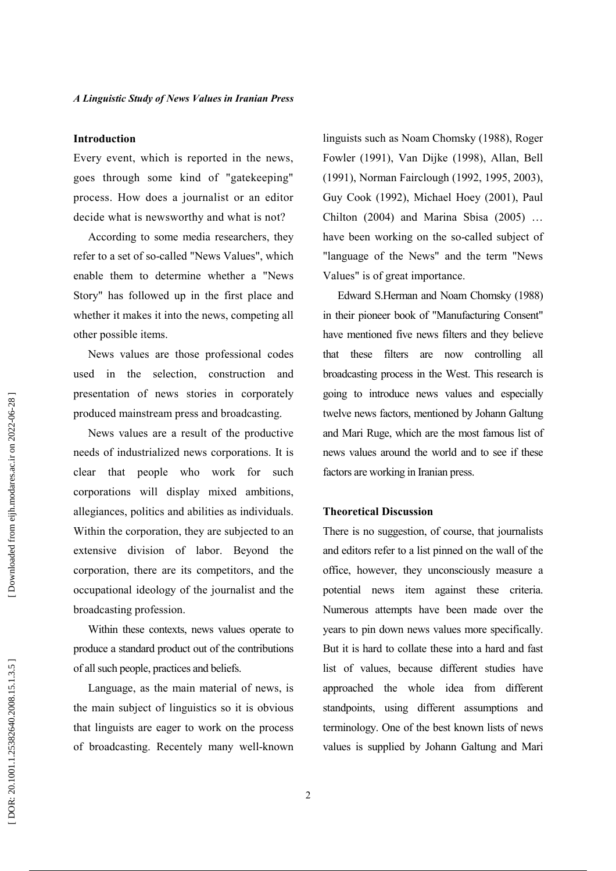## **Introduction**

Every event, which is reported in the news, goes through some kind of "gatekeeping" process. How does a journalist or an editor decide what is newsworthy and what is not?

According to some media researchers, they refer to a set of so-called "News Values", which enable them to determine whether a "News Story" has followed up in the first place and whether it makes it into the news, competing all other possible items.

News values are those professional codes used in the selection, construction and presentation of news stories in corporately produced mainstream press and broadcasting.

News values are a result of the productive needs of industrialized news corporations. It is clear that people who work for such corporations will display mixed ambitions, allegiances, politics and abilities as individuals. Within the corporation, they are subjected to an extensive division of labor. Beyond the corporation, there are its competitors, and the occupational ideology of the journalist and the broadcasting profession.

Within these contexts, news values operate to produce a standard product out of the contributions of all such people, practices and beliefs.

Language, as the main material of news, is the main subject of linguistics so it is obvious that linguists are eager to work on the process of broadcasting. Recentely many well-known linguists such as Noam Chomsky (1988), Roger Fowler (1991), Van Dijke (1998), Allan, Bell (1991), Norman Fairclough (1992, 1995, 2003), Guy Cook (1992), Michael Hoey (2001), Paul Chilton (2004) and Marina Sbisa (2005) ... have been working on the so-called subject of "language of the News" and the term "News Values" is of great importance.

Edward S.Herman and Noam Chomsky (1988) in their pioneer book of "Manufacturing Consent" have mentioned five news filters and they believe these filters are now controlling all that broadcasting process in the West. This research is going to introduce news values and especially twelve news factors, mentioned by Johann Galtung and Mari Ruge, which are the most famous list of news values around the world and to see if these factors are working in Iranian press.

## **Theoretical Discussion**

There is no suggestion, of course, that journalists and editors refer to a list pinned on the wall of the office, however, they unconsciously measure a potential news item against these criteria. Numerous attempts have been made over the years to pin down news values more specifically. But it is hard to collate these into a hard and fast list of values, because different studies have approached the whole idea from different standpoints, using different assumptions and terminology. One of the best known lists of news values is supplied by Johann Galtung and Mari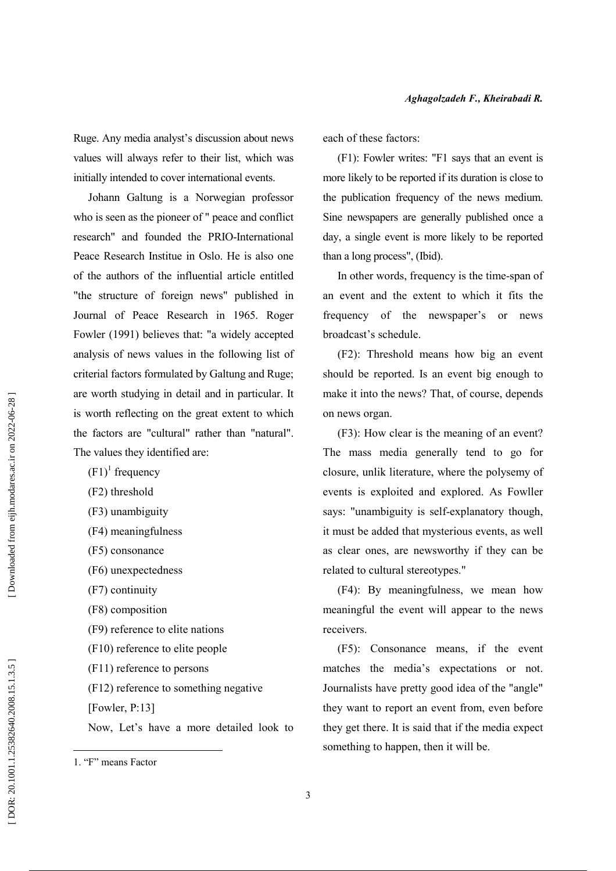Ruge. Any media analyst's discussion about news values will always refer to their list, which was initially intended to cover international events.

Johann Galtung is a Norwegian professor who is seen as the pioneer of " peace and conflict research" and founded the PRIO-International Peace Research Institue in Oslo. He is also one of the authors of the influential article entitled "the structure of foreign news" published in Journal of Peace Research in 1965. Roger Fowler (1991) believes that: "a widely accepted analysis of news values in the following list of criterial factors formulated by Galtung and Ruge; are worth studying in detail and in particular. It is worth reflecting on the great extent to which the factors are "cultural" rather than "natural". The values they identified are:

- $(F1)^1$  frequency
- (F2) threshold
- (F3) unambiguity
- (F4) meaningfulness
- (F5) consonance
- (F6) unexpectedness
- (F7) continuity
- (F8) composition
- (F9) reference to elite nations
- (F10) reference to elite people
- $(F11)$  reference to persons
- (F12) reference to something negative
- [Fowler, P:13]

Now, Let's have a more detailed look to

each of these factors:

(F1): Fowler writes: "F1 says that an event is more likely to be reported if its duration is close to the publication frequency of the news medium. Sine newspapers are generally published once a day, a single event is more likely to be reported than a long process", (Ibid).

In other words, frequency is the time-span of an event and the extent to which it fits the frequency of the newspaper's or news broadcast's schedule.

(F2): Threshold means how big an event should be reported. Is an event big enough to make it into the news? That, of course, depends on news organ.

(F3): How clear is the meaning of an event? The mass media generally tend to go for closure, unlik literature, where the polysemy of events is exploited and explored. As Fowller says: "unambiguity is self-explanatory though, it must be added that mysterious events, as well as clear ones, are newsworthy if they can be related to cultural stereotypes."

(F4): By meaningfulness, we mean how meaningful the event will appear to the news receivers.

(F5): Consonance means, if the event matches the media's expectations or not. Journalists have pretty good idea of the "angle" they want to report an event from, even before they get there. It is said that if the media expect something to happen, then it will be.

<sup>1 &</sup>quot;F" means Factor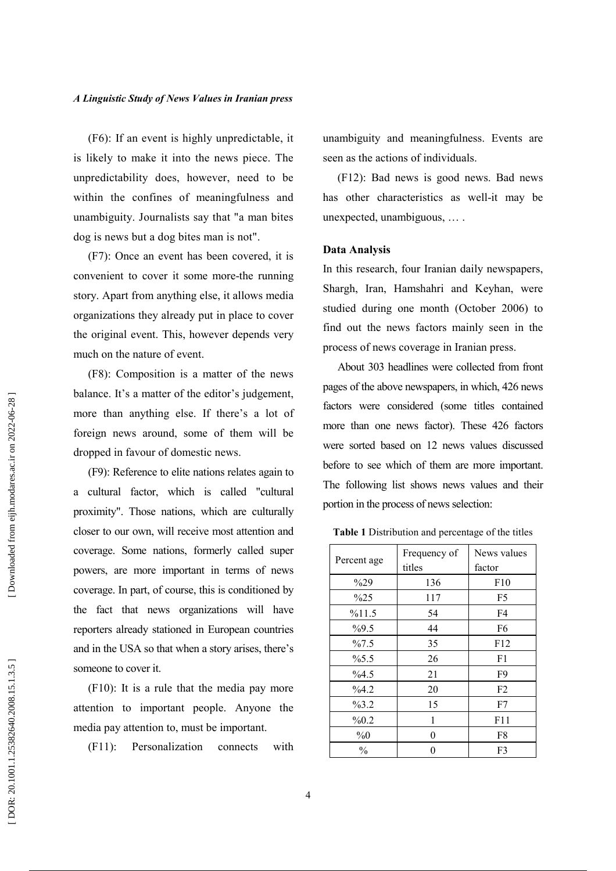(F6): If an event is highly unpredictable, it is likely to make it into the news piece. The unpredictability does, however, need to be within the confines of meaningfulness and unambiguity. Journalists say that "a man bites dog is news but a dog bites man is not".

(F7): Once an event has been covered, it is convenient to cover it some more-the running story. Apart from anything else, it allows media organizations they already put in place to cover the original event. This, however depends very much on the nature of event.

(F8): Composition is a matter of the news balance. It's a matter of the editor's judgement, more than anything else. If there's a lot of foreign news around, some of them will be dropped in favour of domestic news.

(F9): Reference to elite nations relates again to a cultural factor, which is called "cultural proximity". Those nations, which are culturally closer to our own, will receive most attention and coverage. Some nations, formerly called super powers, are more important in terms of news coverage. In part, of course, this is conditioned by the fact that news organizations will have reporters already stationed in European countries and in the USA so that when a story arises, there's someone to cover it.

 $(F10)$ : It is a rule that the media pay more attention to important people. Anyone the media pay attention to, must be important.

 $(F11)$ : Personalization connects with unambiguity and meaningfulness. Events are seen as the actions of individuals.

(F12): Bad news is good news. Bad news has other characteristics as well-it may be unexpected, unambiguous, ....

#### **Data Analysis**

In this research, four Iranian daily newspapers, Shargh, Iran, Hamshahri and Keyhan, were studied during one month (October 2006) to find out the news factors mainly seen in the process of news coverage in Iranian press.

About 303 headlines were collected from front pages of the above newspapers, in which, 426 news factors were considered (some titles contained more than one news factor). These 426 factors were sorted based on 12 news values discussed before to see which of them are more important. The following list shows news values and their portion in the process of news selection:

Table 1 Distribution and percentage of the titles

| Percent age   | Frequency of | News values    |
|---------------|--------------|----------------|
|               | titles       | factor         |
| $\%29$        | 136          | F10            |
| $\%25$        | 117          | F5             |
| %11.5         | 54           | F4             |
| $\%9.5$       | 44           | F6             |
| %7.5          | 35           | F12            |
| $\%5.5$       | 26           | F1             |
| %4.5          | 21           | F9             |
| %4.2          | 20           | F <sub>2</sub> |
| %3.2          | 15           | F7             |
| %0.2          | 1            | F11            |
| $\%0$         | 0            | F8             |
| $\frac{0}{0}$ | $\theta$     | F3             |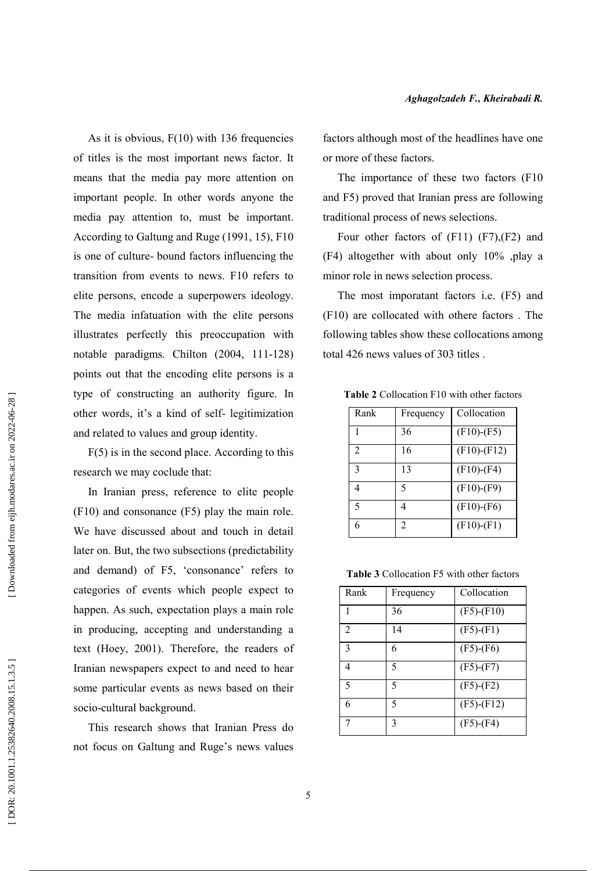As it is obvious,  $F(10)$  with 136 frequencies of titles is the most important news factor. It means that the media pay more attention on important people. In other words anyone the media pay attention to, must be important. According to Galtung and Ruge (1991, 15), F10 is one of culture- bound factors influencing the transition from events to news. F10 refers to elite persons, encode a superpowers ideology. The media infatuation with the elite persons illustrates perfectly this preoccupation with notable paradigms. Chilton (2004, 111-128) points out that the encoding elite persons is a type of constructing an authority figure. In other words, it's a kind of self-legitimization and related to values and group identity.

 $F(5)$  is in the second place. According to this research we may coclude that:

In Iranian press, reference to elite people (F10) and consonance (F5) play the main role. We have discussed about and touch in detail later on. But, the two subsections (predictability and demand) of F5, 'consonance' refers to categories of events which people expect to happen. As such, expectation plays a main role in producing, accepting and understanding a text (Hoey, 2001). Therefore, the readers of Iranian newspapers expect to and need to hear some particular events as news based on their socio-cultural background.

This research shows that Iranian Press do not focus on Galtung and Ruge's news values factors although most of the headlines have one or more of these factors.

The importance of these two factors (F10) and F5) proved that Iranian press are following traditional process of news selections.

Four other factors of  $(F11)$   $(F7)$ ,  $(F2)$  and (F4) altogether with about only 10% ,play a minor role in news selection process.

The most imporatant factors *i.e.* (F5) and (F10) are collocated with othere factors. The following tables show these collocations among total 426 news values of 303 titles.

| Rank                        | Frequency | Collocation       |
|-----------------------------|-----------|-------------------|
|                             | 36        | $(F10)$ - $(F5)$  |
| $\mathcal{D}_{\mathcal{L}}$ | 16        | $(F10)$ - $(F12)$ |
| $\mathbf{3}$                | 13        | $(F10)$ - $(F4)$  |
|                             | 5         | $(F10)-(F9)$      |
| 5                           | 4         | $(F10)$ - $(F6)$  |
|                             | 2         | $(F10)$ - $(F1)$  |

Table 2 Collocation F10 with other factors

Table 3 Collocation F5 with other factors

| Rank           | Frequency | Collocation      |
|----------------|-----------|------------------|
| 1              | 36        | $(F5)-(F10)$     |
| $\overline{2}$ | 14        | $(F5)$ - $(F1)$  |
| 3              | 6         | $(F5)-(F6)$      |
| 4              | 5         | $(F5)-(F7)$      |
| 5              | 5         | $(F5)-(F2)$      |
| 6              | 5         | $(F5)$ - $(F12)$ |
| 7              | 3         | $(F5)-(F4)$      |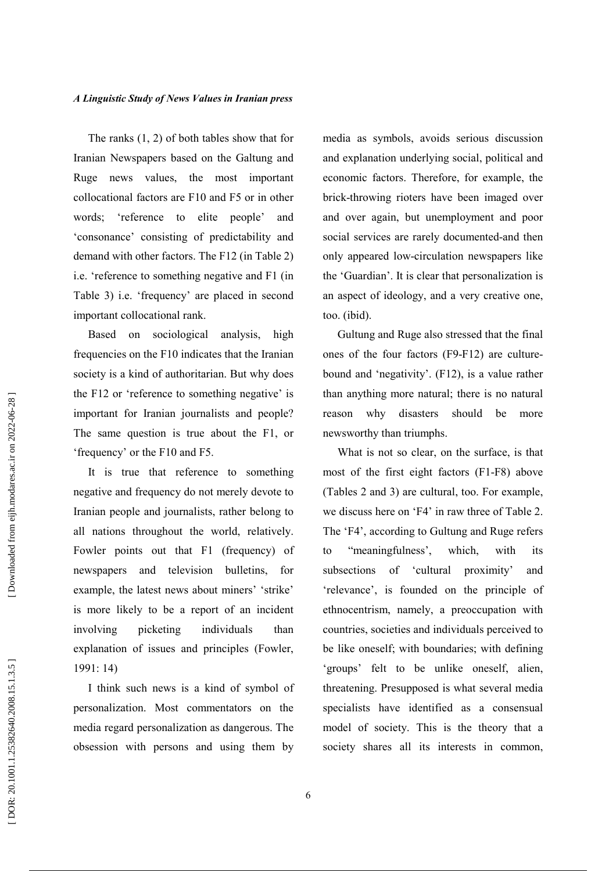The ranks  $(1, 2)$  of both tables show that for Iranian Newspapers based on the Galtung and Ruge news values, the most important collocational factors are F10 and F5 or in other words; 'reference to elite people' and 'consonance' consisting of predictability and demand with other factors. The F12 (in Table 2) i.e. 'reference to something negative and F1 (in Table 3) i.e. 'frequency' are placed in second important collocational rank.

Based on sociological analysis. high frequencies on the F10 indicates that the Iranian society is a kind of authoritarian. But why does the F12 or 'reference to something negative' is important for Iranian journalists and people? The same question is true about the F1, or 'frequency' or the F10 and F5.

It is true that reference to something negative and frequency do not merely devote to Iranian people and journalists, rather belong to all nations throughout the world, relatively. Fowler points out that F1 (frequency) of newspapers and television bulletins, for example, the latest news about miners' 'strike' is more likely to be a report of an incident picketing individuals involving than explanation of issues and principles (Fowler,  $1991:14$ 

I think such news is a kind of symbol of personalization. Most commentators on the media regard personalization as dangerous. The obsession with persons and using them by media as symbols, avoids serious discussion and explanation underlying social, political and economic factors. Therefore, for example, the brick-throwing rioters have been imaged over and over again, but unemployment and poor social services are rarely documented-and then only appeared low-circulation newspapers like the 'Guardian'. It is clear that personalization is an aspect of ideology, and a very creative one, too. (ibid).

Gultung and Ruge also stressed that the final ones of the four factors (F9-F12) are culturebound and 'negativity'. (F12), is a value rather than anything more natural; there is no natural why disasters should be reason more newsworthy than triumphs.

What is not so clear, on the surface, is that most of the first eight factors (F1-F8) above (Tables 2 and 3) are cultural, too. For example, we discuss here on 'F4' in raw three of Table 2. The 'F4', according to Gultung and Ruge refers "meaningfulness'. which. with  $f_{\Omega}$ its subsections of 'cultural proximity' and 'relevance', is founded on the principle of ethnocentrism, namely, a preoccupation with countries, societies and individuals perceived to be like oneself; with boundaries; with defining 'groups' felt to be unlike oneself, alien, threatening. Presupposed is what several media specialists have identified as a consensual model of society. This is the theory that a society shares all its interests in common,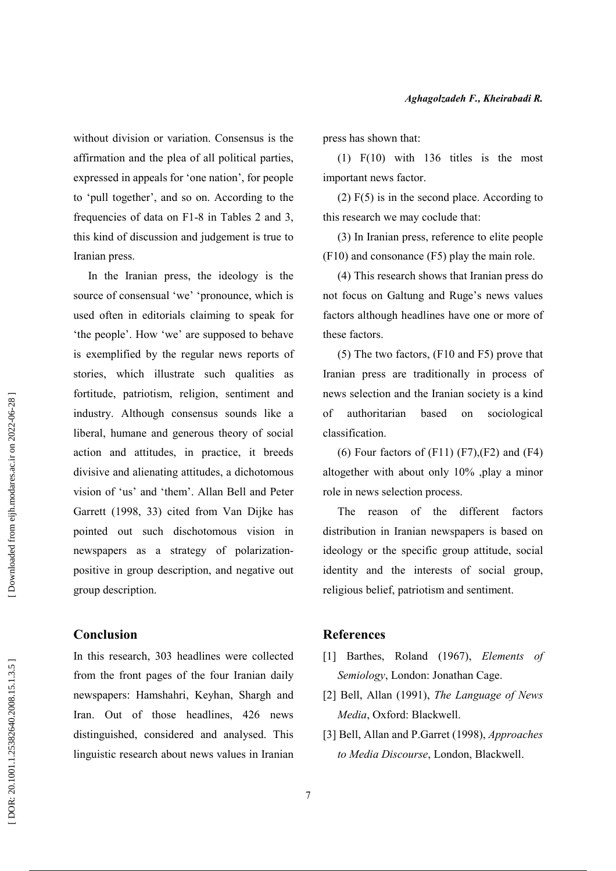without division or variation. Consensus is the affirmation and the plea of all political parties, expressed in appeals for 'one nation', for people to 'pull together', and so on. According to the frequencies of data on F1-8 in Tables 2 and 3, this kind of discussion and judgement is true to Iranian press.

In the Iranian press, the ideology is the source of consensual 'we' 'pronounce, which is used often in editorials claiming to speak for 'the people'. How 'we' are supposed to behave is exemplified by the regular news reports of stories, which illustrate such qualities as fortitude, patriotism, religion, sentiment and industry. Although consensus sounds like a liberal, humane and generous theory of social action and attitudes, in practice, it breeds divisive and alienating attitudes, a dichotomous vision of 'us' and 'them'. Allan Bell and Peter Garrett (1998, 33) cited from Van Dijke has pointed out such dischotomous vision in newspapers as a strategy of polarizationpositive in group description, and negative out group description.

## **Conclusion**

In this research, 303 headlines were collected from the front pages of the four Iranian daily newspapers: Hamshahri, Keyhan, Shargh and Iran. Out of those headlines, 426 news distinguished, considered and analysed. This linguistic research about news values in Iranian press has shown that:

 $(1)$  F $(10)$  with 136 titles is the most important news factor.

 $(2) F(5)$  is in the second place. According to this research we may coclude that:

(3) In Iranian press, reference to elite people  $(F10)$  and consonance  $(F5)$  play the main role.

(4) This research shows that Iranian press do not focus on Galtung and Ruge's news values factors although headlines have one or more of these factors.

(5) The two factors, (F10 and F5) prove that Iranian press are traditionally in process of news selection and the Iranian society is a kind authoritarian  $\alpha$ f based on sociological classification.

(6) Four factors of  $(F11)$   $(F7)$ ,  $(F2)$  and  $(F4)$ altogether with about only 10% play a minor role in news selection process.

The reason of the different factors distribution in Iranian newspapers is based on ideology or the specific group attitude, social identity and the interests of social group, religious belief, patriotism and sentiment.

## **References**

- [1] Barthes, Roland (1967), Elements of Semiology, London: Jonathan Cage.
- [2] Bell, Allan (1991), The Language of News Media, Oxford: Blackwell.
- [3] Bell, Allan and P.Garret (1998), Approaches to Media Discourse, London, Blackwell.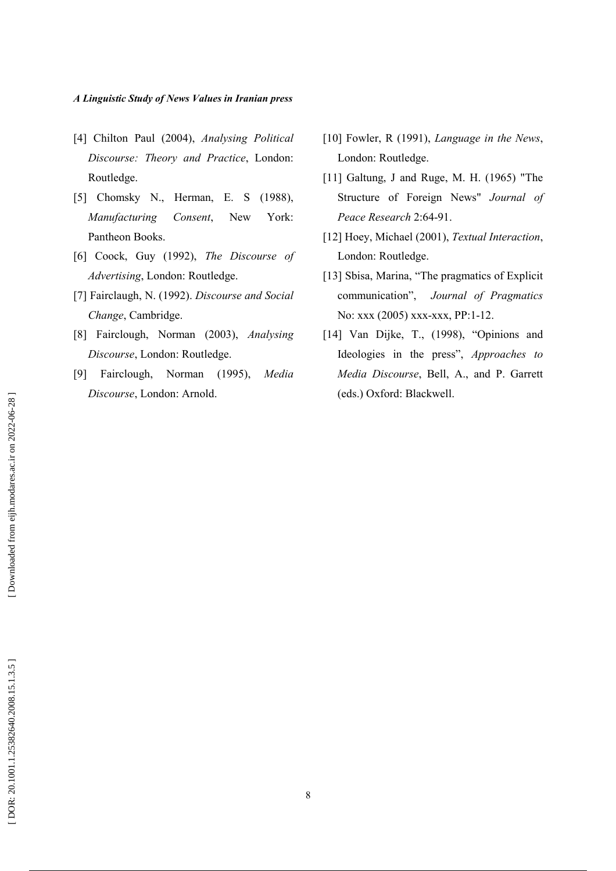- [4] Chilton Paul (2004), Analysing Political Discourse: Theory and Practice, London: Routledge.
- [5] Chomsky N., Herman, E. S (1988), Manufacturing Consent, **New** York: Pantheon Books.
- [6] Coock, Guy (1992), The Discourse of Advertising, London: Routledge.
- [7] Fairclaugh, N. (1992). Discourse and Social Change, Cambridge.
- [8] Fairclough, Norman (2003), Analysing Discourse, London: Routledge.
- [9] Fairclough, Norman (1995), Media Discourse, London: Arnold.
- [10] Fowler, R (1991), Language in the News, London: Routledge.
- [11] Galtung, J and Ruge, M. H.  $(1965)$  "The Structure of Foreign News" Journal of Peace Research 2:64-91.
- [12] Hoey, Michael (2001), Textual Interaction, London: Routledge.
- [13] Sbisa, Marina, "The pragmatics of Explicit communication". Journal of Pragmatics No: xxx (2005) xxx-xxx, PP:1-12.
- [14] Van Dijke, T., (1998), "Opinions and Ideologies in the press", Approaches to Media Discourse, Bell, A., and P. Garrett (eds.) Oxford: Blackwell.